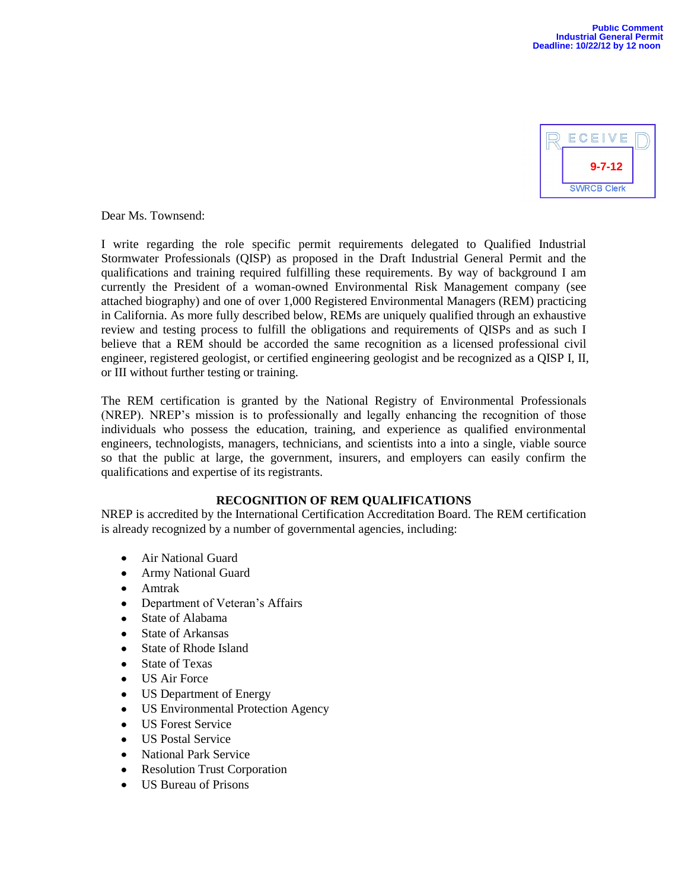

Dear Ms. Townsend:

I write regarding the role specific permit requirements delegated to Qualified Industrial Stormwater Professionals (QISP) as proposed in the Draft Industrial General Permit and the qualifications and training required fulfilling these requirements. By way of background I am currently the President of a woman-owned Environmental Risk Management company (see attached biography) and one of over 1,000 Registered Environmental Managers (REM) practicing in California. As more fully described below, REMs are uniquely qualified through an exhaustive review and testing process to fulfill the obligations and requirements of QISPs and as such I believe that a REM should be accorded the same recognition as a licensed professional civil engineer, registered geologist, or certified engineering geologist and be recognized as a QISP I, II, or III without further testing or training.

The REM certification is granted by the National Registry of Environmental Professionals (NREP). NREP's mission is to professionally and legally enhancing the recognition of those individuals who possess the education, training, and experience as qualified environmental engineers, technologists, managers, technicians, and scientists into a into a single, viable source so that the public at large, the government, insurers, and employers can easily confirm the qualifications and expertise of its registrants.

## **RECOGNITION OF REM QUALIFICATIONS**

NREP is accredited by the International Certification Accreditation Board. The REM certification is already recognized by a number of governmental agencies, including:

- Air National Guard
- $\bullet$ Army National Guard
- $\bullet$ Amtrak
- Department of Veteran's Affairs  $\bullet$
- State of Alabama  $\bullet$
- State of Arkansas  $\bullet$
- State of Rhode Island  $\bullet$
- State of Texas  $\bullet$
- $\bullet$ US Air Force
- US Department of Energy
- US Environmental Protection Agency  $\bullet$
- US Forest Service  $\bullet$
- US Postal Service  $\bullet$
- $\bullet$ National Park Service
- Resolution Trust Corporation  $\bullet$
- $\bullet$ US Bureau of Prisons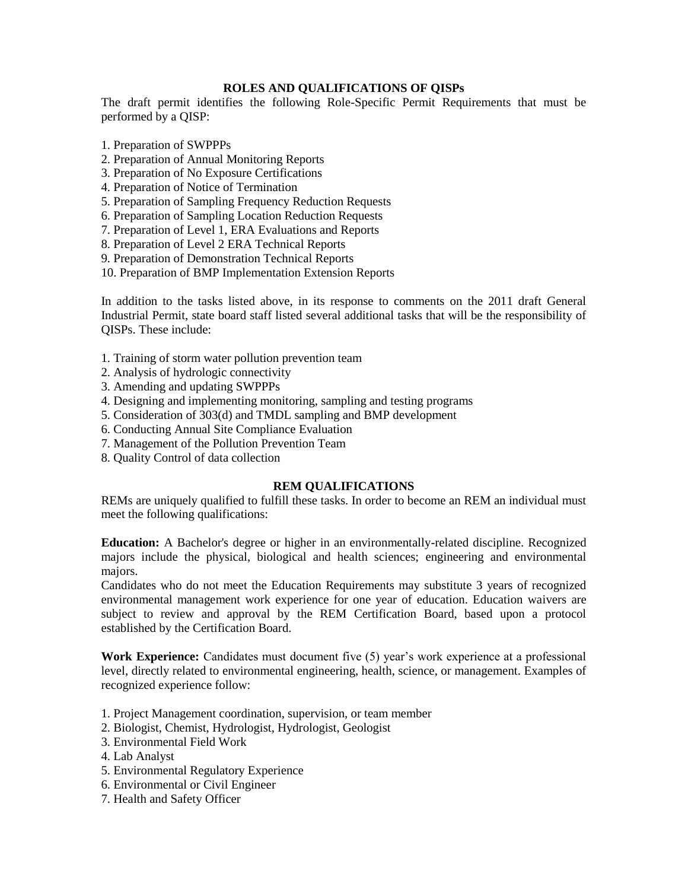# **ROLES AND QUALIFICATIONS OF QISPs**

The draft permit identifies the following Role-Specific Permit Requirements that must be performed by a QISP:

- 1. Preparation of SWPPPs
- 2. Preparation of Annual Monitoring Reports
- 3. Preparation of No Exposure Certifications
- 4. Preparation of Notice of Termination
- 5. Preparation of Sampling Frequency Reduction Requests
- 6. Preparation of Sampling Location Reduction Requests
- 7. Preparation of Level 1, ERA Evaluations and Reports
- 8. Preparation of Level 2 ERA Technical Reports
- 9. Preparation of Demonstration Technical Reports
- 10. Preparation of BMP Implementation Extension Reports

In addition to the tasks listed above, in its response to comments on the 2011 draft General Industrial Permit, state board staff listed several additional tasks that will be the responsibility of QISPs. These include:

- 1. Training of storm water pollution prevention team
- 2. Analysis of hydrologic connectivity
- 3. Amending and updating SWPPPs
- 4. Designing and implementing monitoring, sampling and testing programs
- 5. Consideration of 303(d) and TMDL sampling and BMP development
- 6. Conducting Annual Site Compliance Evaluation
- 7. Management of the Pollution Prevention Team
- 8. Quality Control of data collection

## **REM QUALIFICATIONS**

REMs are uniquely qualified to fulfill these tasks. In order to become an REM an individual must meet the following qualifications:

**Education:** A Bachelor's degree or higher in an environmentally-related discipline. Recognized majors include the physical, biological and health sciences; engineering and environmental majors.

Candidates who do not meet the Education Requirements may substitute 3 years of recognized environmental management work experience for one year of education. Education waivers are subject to review and approval by the REM Certification Board, based upon a protocol established by the Certification Board.

**Work Experience:** Candidates must document five (5) year's work experience at a professional level, directly related to environmental engineering, health, science, or management. Examples of recognized experience follow:

- 1. Project Management coordination, supervision, or team member
- 2. Biologist, Chemist, Hydrologist, Hydrologist, Geologist
- 3. Environmental Field Work
- 4. Lab Analyst
- 5. Environmental Regulatory Experience
- 6. Environmental or Civil Engineer
- 7. Health and Safety Officer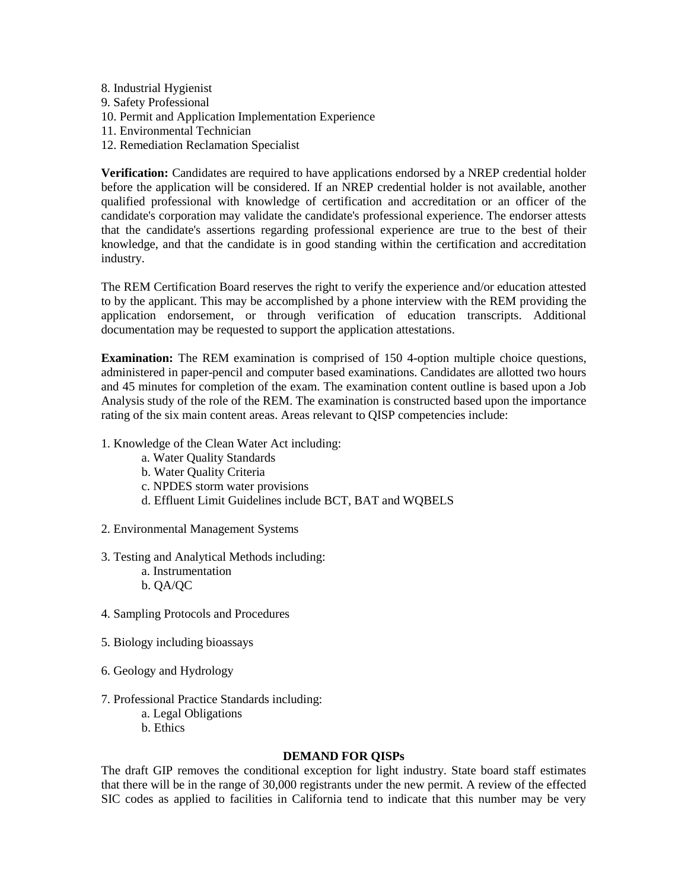- 8. Industrial Hygienist
- 9. Safety Professional
- 10. Permit and Application Implementation Experience
- 11. Environmental Technician
- 12. Remediation Reclamation Specialist

**Verification:** Candidates are required to have applications endorsed by a NREP credential holder before the application will be considered. If an NREP credential holder is not available, another qualified professional with knowledge of certification and accreditation or an officer of the candidate's corporation may validate the candidate's professional experience. The endorser attests that the candidate's assertions regarding professional experience are true to the best of their knowledge, and that the candidate is in good standing within the certification and accreditation industry.

The REM Certification Board reserves the right to verify the experience and/or education attested to by the applicant. This may be accomplished by a phone interview with the REM providing the application endorsement, or through verification of education transcripts. Additional documentation may be requested to support the application attestations.

**Examination:** The REM examination is comprised of 150 4-option multiple choice questions, administered in paper-pencil and computer based examinations. Candidates are allotted two hours and 45 minutes for completion of the exam. The examination content outline is based upon a Job Analysis study of the role of the REM. The examination is constructed based upon the importance rating of the six main content areas. Areas relevant to QISP competencies include:

- 1. Knowledge of the Clean Water Act including:
	- a. Water Quality Standards
	- b. Water Quality Criteria
	- c. NPDES storm water provisions
	- d. Effluent Limit Guidelines include BCT, BAT and WQBELS
- 2. Environmental Management Systems
- 3. Testing and Analytical Methods including: a. Instrumentation b. QA/QC
- 4. Sampling Protocols and Procedures
- 5. Biology including bioassays
- 6. Geology and Hydrology
- 7. Professional Practice Standards including:
	- a. Legal Obligations
	- b. Ethics

## **DEMAND FOR QISPs**

The draft GIP removes the conditional exception for light industry. State board staff estimates that there will be in the range of 30,000 registrants under the new permit. A review of the effected SIC codes as applied to facilities in California tend to indicate that this number may be very